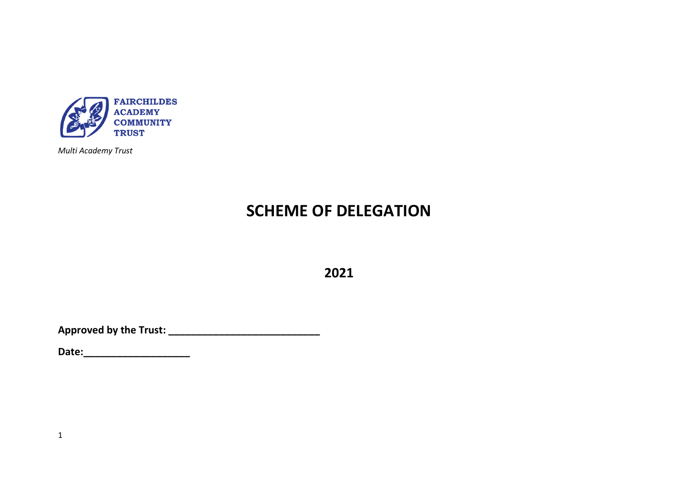

*Multi Academy Trust*

# **SCHEME OF DELEGATION**

**2021**

**Approved by the Trust: \_\_\_\_\_\_\_\_\_\_\_\_\_\_\_\_\_\_\_\_\_\_\_\_\_\_\_** 

**Date:\_\_\_\_\_\_\_\_\_\_\_\_\_\_\_\_\_\_\_**

1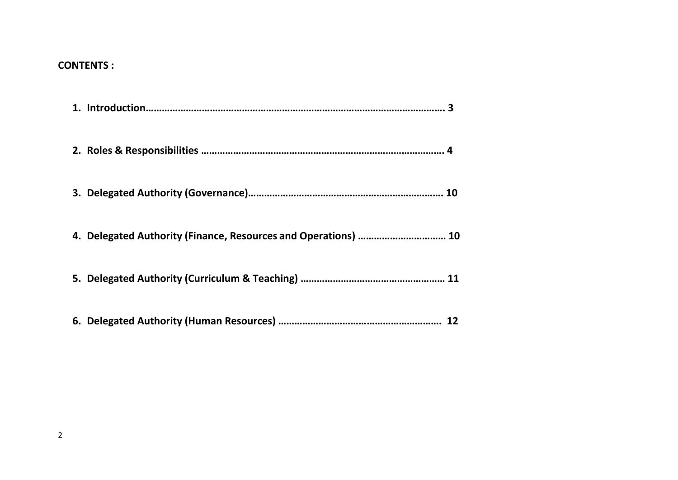### **CONTENTS :**

| 4. Delegated Authority (Finance, Resources and Operations)  10 |  |
|----------------------------------------------------------------|--|
|                                                                |  |
|                                                                |  |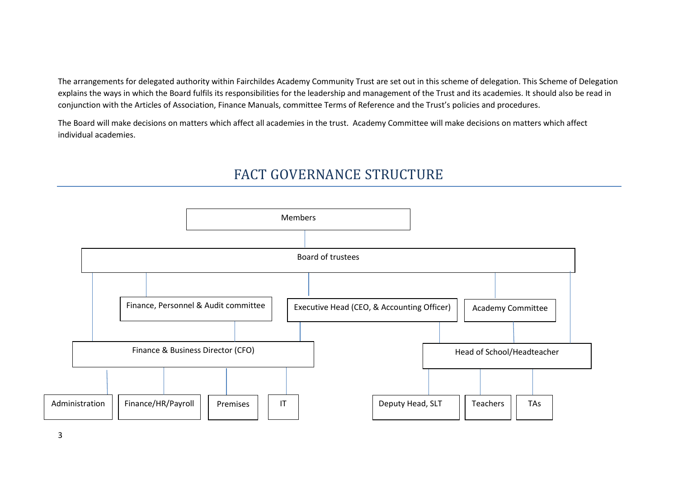The arrangements for delegated authority within Fairchildes Academy Community Trust are set out in this scheme of delegation. This Scheme of Delegation explains the ways in which the Board fulfils its responsibilities for the leadership and management of the Trust and its academies. It should also be read in conjunction with the Articles of Association, Finance Manuals, committee Terms of Reference and the Trust's policies and procedures.

The Board will make decisions on matters which affect all academies in the trust. Academy Committee will make decisions on matters which affect individual academies.

## FACT GOVERNANCE STRUCTURE

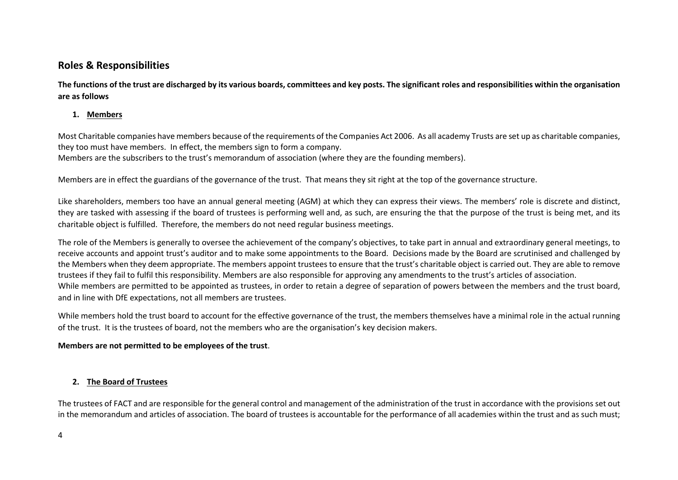### **Roles & Responsibilities**

**The functions of the trust are discharged by its various boards, committees and key posts. The significant roles and responsibilities within the organisation are as follows**

#### **1. Members**

Most Charitable companies have members because of the requirements of the Companies Act 2006. As all academy Trusts are set up as charitable companies, they too must have members. In effect, the members sign to form a company.

Members are the subscribers to the trust's memorandum of association (where they are the founding members).

Members are in effect the guardians of the governance of the trust. That means they sit right at the top of the governance structure.

Like shareholders, members too have an annual general meeting (AGM) at which they can express their views. The members' role is discrete and distinct, they are tasked with assessing if the board of trustees is performing well and, as such, are ensuring the that the purpose of the trust is being met, and its charitable object is fulfilled. Therefore, the members do not need regular business meetings.

The role of the Members is generally to oversee the achievement of the company's objectives, to take part in annual and extraordinary general meetings, to receive accounts and appoint trust's auditor and to make some appointments to the Board. Decisions made by the Board are scrutinised and challenged by the Members when they deem appropriate. The members appoint trustees to ensure that the trust's charitable object is carried out. They are able to remove trustees if they fail to fulfil this responsibility. Members are also responsible for approving any amendments to the trust's articles of association. While members are permitted to be appointed as trustees, in order to retain a degree of separation of powers between the members and the trust board, and in line with DfE expectations, not all members are trustees.

While members hold the trust board to account for the effective governance of the trust, the members themselves have a minimal role in the actual running of the trust. It is the trustees of board, not the members who are the organisation's key decision makers.

#### **Members are not permitted to be employees of the trust**.

#### **2. The Board of Trustees**

The trustees of FACT and are responsible for the general control and management of the administration of the trust in accordance with the provisions set out in the memorandum and articles of association. The board of trustees is accountable for the performance of all academies within the trust and as such must;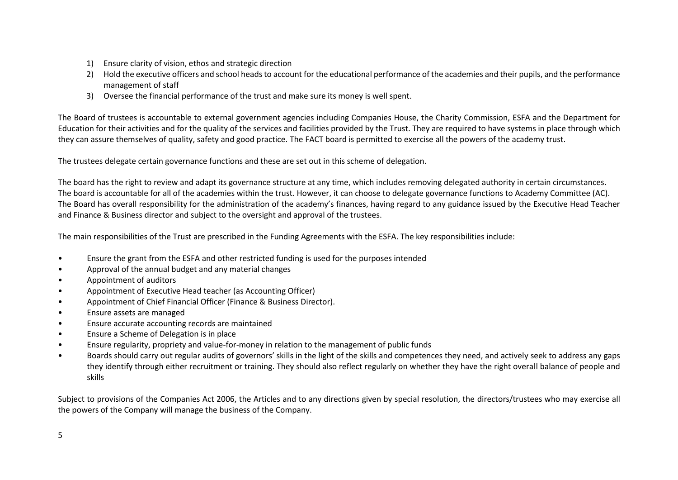- 1) Ensure clarity of vision, ethos and strategic direction
- 2) Hold the executive officers and school heads to account for the educational performance of the academies and their pupils, and the performance management of staff
- 3) Oversee the financial performance of the trust and make sure its money is well spent.

The Board of trustees is accountable to external government agencies including Companies House, the Charity Commission, ESFA and the Department for Education for their activities and for the quality of the services and facilities provided by the Trust. They are required to have systems in place through which they can assure themselves of quality, safety and good practice. The FACT board is permitted to exercise all the powers of the academy trust.

The trustees delegate certain governance functions and these are set out in this scheme of delegation.

The board has the right to review and adapt its governance structure at any time, which includes removing delegated authority in certain circumstances. The board is accountable for all of the academies within the trust. However, it can choose to delegate governance functions to Academy Committee (AC). The Board has overall responsibility for the administration of the academy's finances, having regard to any guidance issued by the Executive Head Teacher and Finance & Business director and subject to the oversight and approval of the trustees.

The main responsibilities of the Trust are prescribed in the Funding Agreements with the ESFA. The key responsibilities include:

- Ensure the grant from the ESFA and other restricted funding is used for the purposes intended
- Approval of the annual budget and any material changes
- Appointment of auditors
- Appointment of Executive Head teacher (as Accounting Officer)
- Appointment of Chief Financial Officer (Finance & Business Director).
- Ensure assets are managed
- Ensure accurate accounting records are maintained
- Ensure a Scheme of Delegation is in place
- Ensure regularity, propriety and value-for-money in relation to the management of public funds
- Boards should carry out regular audits of governors' skills in the light of the skills and competences they need, and actively seek to address any gaps they identify through either recruitment or training. They should also reflect regularly on whether they have the right overall balance of people and skills

Subject to provisions of the Companies Act 2006, the Articles and to any directions given by special resolution, the directors/trustees who may exercise all the powers of the Company will manage the business of the Company.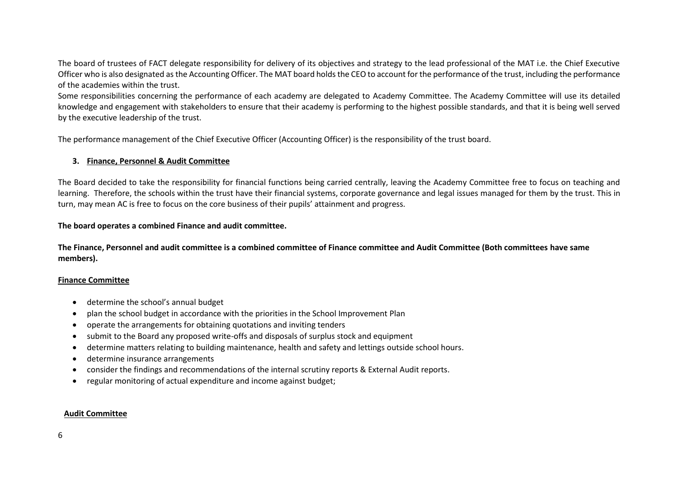The board of trustees of FACT delegate responsibility for delivery of its objectives and strategy to the lead professional of the MAT i.e. the Chief Executive Officer who is also designated as the Accounting Officer. The MAT board holds the CEO to account for the performance of the trust, including the performance of the academies within the trust.

Some responsibilities concerning the performance of each academy are delegated to Academy Committee. The Academy Committee will use its detailed knowledge and engagement with stakeholders to ensure that their academy is performing to the highest possible standards, and that it is being well served by the executive leadership of the trust.

The performance management of the Chief Executive Officer (Accounting Officer) is the responsibility of the trust board.

#### **3. Finance, Personnel & Audit Committee**

The Board decided to take the responsibility for financial functions being carried centrally, leaving the Academy Committee free to focus on teaching and learning. Therefore, the schools within the trust have their financial systems, corporate governance and legal issues managed for them by the trust. This in turn, may mean AC is free to focus on the core business of their pupils' attainment and progress.

#### **The board operates a combined Finance and audit committee.**

**The Finance, Personnel and audit committee is a combined committee of Finance committee and Audit Committee (Both committees have same members).**

#### **Finance Committee**

- determine the school's annual budget
- plan the school budget in accordance with the priorities in the School Improvement Plan
- operate the arrangements for obtaining quotations and inviting tenders
- submit to the Board any proposed write-offs and disposals of surplus stock and equipment
- determine matters relating to building maintenance, health and safety and lettings outside school hours.
- determine insurance arrangements
- consider the findings and recommendations of the internal scrutiny reports & External Audit reports.
- regular monitoring of actual expenditure and income against budget;

#### **Audit Committee**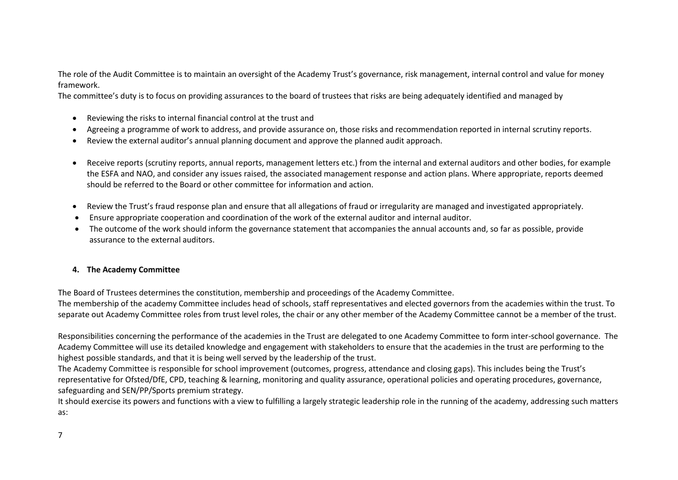The role of the Audit Committee is to maintain an oversight of the Academy Trust's governance, risk management, internal control and value for money framework.

The committee's duty is to focus on providing assurances to the board of trustees that risks are being adequately identified and managed by

- Reviewing the risks to internal financial control at the trust and
- Agreeing a programme of work to address, and provide assurance on, those risks and recommendation reported in internal scrutiny reports.
- Review the external auditor's annual planning document and approve the planned audit approach.
- Receive reports (scrutiny reports, annual reports, management letters etc.) from the internal and external auditors and other bodies, for example the ESFA and NAO, and consider any issues raised, the associated management response and action plans. Where appropriate, reports deemed should be referred to the Board or other committee for information and action.
- Review the Trust's fraud response plan and ensure that all allegations of fraud or irregularity are managed and investigated appropriately.
- Ensure appropriate cooperation and coordination of the work of the external auditor and internal auditor.
- The outcome of the work should inform the governance statement that accompanies the annual accounts and, so far as possible, provide assurance to the external auditors.

#### **4. The Academy Committee**

The Board of Trustees determines the constitution, membership and proceedings of the Academy Committee.

The membership of the academy Committee includes head of schools, staff representatives and elected governors from the academies within the trust. To separate out Academy Committee roles from trust level roles, the chair or any other member of the Academy Committee cannot be a member of the trust.

Responsibilities concerning the performance of the academies in the Trust are delegated to one Academy Committee to form inter-school governance. The Academy Committee will use its detailed knowledge and engagement with stakeholders to ensure that the academies in the trust are performing to the highest possible standards, and that it is being well served by the leadership of the trust.

The Academy Committee is responsible for school improvement (outcomes, progress, attendance and closing gaps). This includes being the Trust's representative for Ofsted/DfE, CPD, teaching & learning, monitoring and quality assurance, operational policies and operating procedures, governance, safeguarding and SEN/PP/Sports premium strategy.

It should exercise its powers and functions with a view to fulfilling a largely strategic leadership role in the running of the academy, addressing such matters as: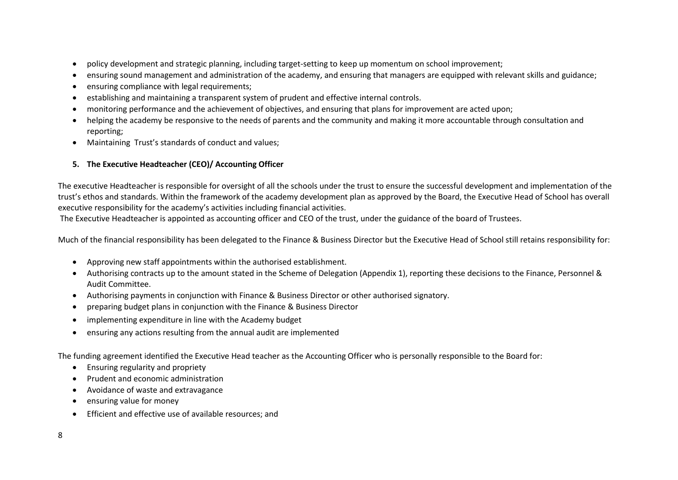- policy development and strategic planning, including target-setting to keep up momentum on school improvement;
- ensuring sound management and administration of the academy, and ensuring that managers are equipped with relevant skills and guidance;
- ensuring compliance with legal requirements;
- establishing and maintaining a transparent system of prudent and effective internal controls.
- monitoring performance and the achievement of objectives, and ensuring that plans for improvement are acted upon;
- helping the academy be responsive to the needs of parents and the community and making it more accountable through consultation and reporting;
- Maintaining Trust's standards of conduct and values;

#### **5. The Executive Headteacher (CEO)/ Accounting Officer**

The executive Headteacher is responsible for oversight of all the schools under the trust to ensure the successful development and implementation of the trust's ethos and standards. Within the framework of the academy development plan as approved by the Board, the Executive Head of School has overall executive responsibility for the academy's activities including financial activities.

The Executive Headteacher is appointed as accounting officer and CEO of the trust, under the guidance of the board of Trustees.

Much of the financial responsibility has been delegated to the Finance & Business Director but the Executive Head of School still retains responsibility for:

- Approving new staff appointments within the authorised establishment.
- Authorising contracts up to the amount stated in the Scheme of Delegation (Appendix 1), reporting these decisions to the Finance, Personnel & Audit Committee.
- Authorising payments in conjunction with Finance & Business Director or other authorised signatory.
- preparing budget plans in conjunction with the Finance & Business Director
- implementing expenditure in line with the Academy budget
- ensuring any actions resulting from the annual audit are implemented

The funding agreement identified the Executive Head teacher as the Accounting Officer who is personally responsible to the Board for:

- Ensuring regularity and propriety
- Prudent and economic administration
- Avoidance of waste and extravagance
- ensuring value for money
- Efficient and effective use of available resources; and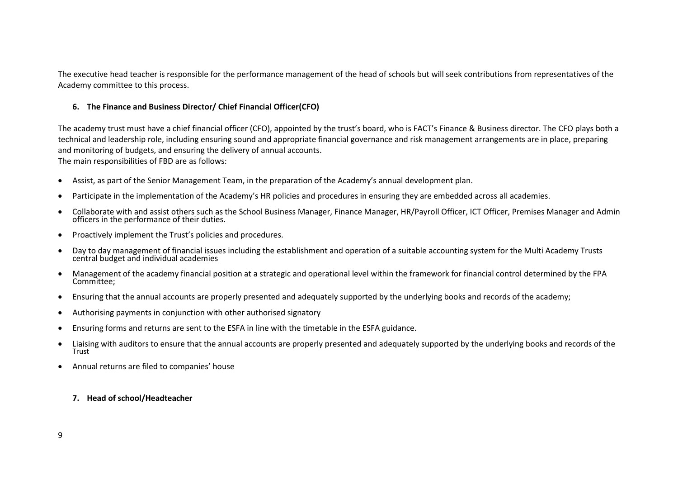The executive head teacher is responsible for the performance management of the head of schools but will seek contributions from representatives of the Academy committee to this process.

#### **6. The Finance and Business Director/ Chief Financial Officer(CFO)**

The academy trust must have a chief financial officer (CFO), appointed by the trust's board, who is FACT's Finance & Business director. The CFO plays both a technical and leadership role, including ensuring sound and appropriate financial governance and risk management arrangements are in place, preparing and monitoring of budgets, and ensuring the delivery of annual accounts. The main responsibilities of FBD are as follows:

- Assist, as part of the Senior Management Team, in the preparation of the Academy's annual development plan.
- Participate in the implementation of the Academy's HR policies and procedures in ensuring they are embedded across all academies.
- Collaborate with and assist others such as the School Business Manager, Finance Manager, HR/Payroll Officer, ICT Officer, Premises Manager and Admin officers in the performance of their duties.
- Proactively implement the Trust's policies and procedures.
- Day to day management of financial issues including the establishment and operation of a suitable accounting system for the Multi Academy Trusts central budget and individual academies
- Management of the academy financial position at a strategic and operational level within the framework for financial control determined by the FPA Committee;
- Ensuring that the annual accounts are properly presented and adequately supported by the underlying books and records of the academy;
- Authorising payments in conjunction with other authorised signatory
- Ensuring forms and returns are sent to the ESFA in line with the timetable in the ESFA guidance.
- Liaising with auditors to ensure that the annual accounts are properly presented and adequately supported by the underlying books and records of the **Trust**
- Annual returns are filed to companies' house

#### **7. Head of school/Headteacher**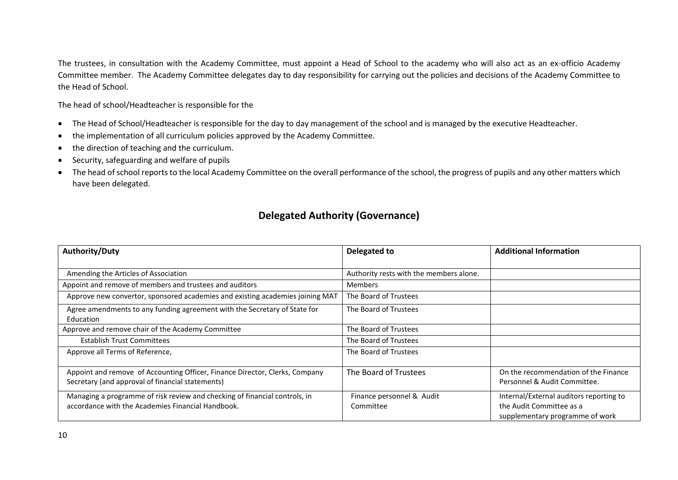The trustees, in consultation with the Academy Committee, must appoint a Head of School to the academy who will also act as an ex-officio Academy Committee member. The Academy Committee delegates day to day responsibility for carrying out the policies and decisions of the Academy Committee to the Head of School.

The head of school/Headteacher is responsible for the

- The Head of School/Headteacher is responsible for the day to day management of the school and is managed by the executive Headteacher.
- the implementation of all curriculum policies approved by the Academy Committee.
- the direction of teaching and the curriculum.
- Security, safeguarding and welfare of pupils
- The head of school reports to the local Academy Committee on the overall performance of the school, the progress of pupils and any other matters which have been delegated.

### **Delegated Authority (Governance)**

| <b>Authority/Duty</b>                                                                                                           | Delegated to                            | <b>Additional Information</b>                                                                          |
|---------------------------------------------------------------------------------------------------------------------------------|-----------------------------------------|--------------------------------------------------------------------------------------------------------|
|                                                                                                                                 |                                         |                                                                                                        |
| Amending the Articles of Association                                                                                            | Authority rests with the members alone. |                                                                                                        |
| Appoint and remove of members and trustees and auditors                                                                         | <b>Members</b>                          |                                                                                                        |
| Approve new convertor, sponsored academies and existing academies joining MAT                                                   | The Board of Trustees                   |                                                                                                        |
| Agree amendments to any funding agreement with the Secretary of State for<br>Education                                          | The Board of Trustees                   |                                                                                                        |
| Approve and remove chair of the Academy Committee                                                                               | The Board of Trustees                   |                                                                                                        |
| <b>Establish Trust Committees</b>                                                                                               | The Board of Trustees                   |                                                                                                        |
| Approve all Terms of Reference,                                                                                                 | The Board of Trustees                   |                                                                                                        |
| Appoint and remove of Accounting Officer, Finance Director, Clerks, Company<br>Secretary (and approval of financial statements) | The Board of Trustees                   | On the recommendation of the Finance<br>Personnel & Audit Committee.                                   |
| Managing a programme of risk review and checking of financial controls, in<br>accordance with the Academies Financial Handbook. | Finance personnel & Audit<br>Committee  | Internal/External auditors reporting to<br>the Audit Committee as a<br>supplementary programme of work |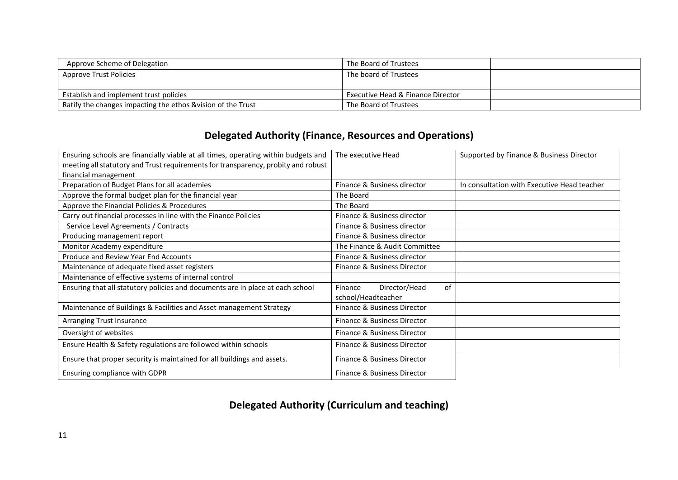| Approve Scheme of Delegation                                 | The Board of Trustees                        |  |
|--------------------------------------------------------------|----------------------------------------------|--|
| Approve Trust Policies                                       | The board of Trustees                        |  |
|                                                              |                                              |  |
| Establish and implement trust policies                       | <b>Executive Head &amp; Finance Director</b> |  |
| Ratify the changes impacting the ethos & vision of the Trust | The Board of Trustees                        |  |

## **Delegated Authority (Finance, Resources and Operations)**

| Ensuring schools are financially viable at all times, operating within budgets and | The executive Head             | Supported by Finance & Business Director    |
|------------------------------------------------------------------------------------|--------------------------------|---------------------------------------------|
| meeting all statutory and Trust requirements for transparency, probity and robust  |                                |                                             |
| financial management                                                               |                                |                                             |
| Preparation of Budget Plans for all academies                                      | Finance & Business director    | In consultation with Executive Head teacher |
| Approve the formal budget plan for the financial year                              | The Board                      |                                             |
| Approve the Financial Policies & Procedures                                        | The Board                      |                                             |
| Carry out financial processes in line with the Finance Policies                    | Finance & Business director    |                                             |
| Service Level Agreements / Contracts                                               | Finance & Business director    |                                             |
| Producing management report                                                        | Finance & Business director    |                                             |
| Monitor Academy expenditure                                                        | The Finance & Audit Committee  |                                             |
| Produce and Review Year End Accounts                                               | Finance & Business director    |                                             |
| Maintenance of adequate fixed asset registers                                      | Finance & Business Director    |                                             |
| Maintenance of effective systems of internal control                               |                                |                                             |
| Ensuring that all statutory policies and documents are in place at each school     | of<br>Director/Head<br>Finance |                                             |
|                                                                                    | school/Headteacher             |                                             |
| Maintenance of Buildings & Facilities and Asset management Strategy                | Finance & Business Director    |                                             |
| Arranging Trust Insurance                                                          | Finance & Business Director    |                                             |
| Oversight of websites                                                              | Finance & Business Director    |                                             |
| Ensure Health & Safety regulations are followed within schools                     | Finance & Business Director    |                                             |
| Ensure that proper security is maintained for all buildings and assets.            | Finance & Business Director    |                                             |
| Ensuring compliance with GDPR                                                      | Finance & Business Director    |                                             |

**Delegated Authority (Curriculum and teaching)**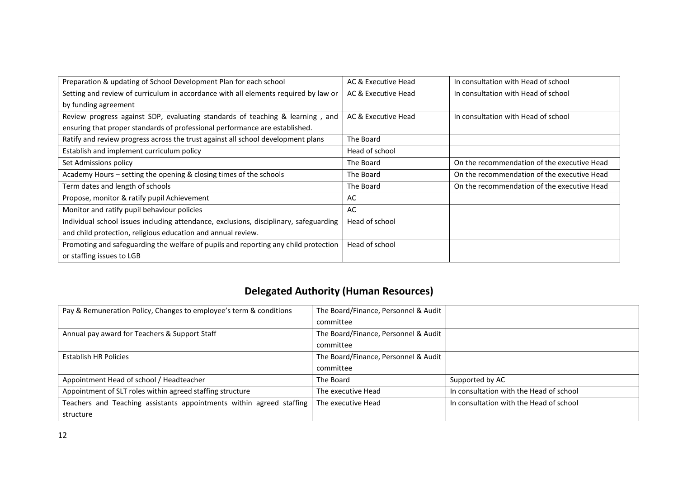| Preparation & updating of School Development Plan for each school                     | AC & Executive Head | In consultation with Head of school         |
|---------------------------------------------------------------------------------------|---------------------|---------------------------------------------|
| Setting and review of curriculum in accordance with all elements required by law or   | AC & Executive Head | In consultation with Head of school         |
| by funding agreement                                                                  |                     |                                             |
| Review progress against SDP, evaluating standards of teaching & learning, and         | AC & Executive Head | In consultation with Head of school         |
| ensuring that proper standards of professional performance are established.           |                     |                                             |
| Ratify and review progress across the trust against all school development plans      | The Board           |                                             |
| Establish and implement curriculum policy                                             | Head of school      |                                             |
| Set Admissions policy                                                                 | The Board           | On the recommendation of the executive Head |
| Academy Hours - setting the opening & closing times of the schools                    | The Board           | On the recommendation of the executive Head |
| Term dates and length of schools                                                      | The Board           | On the recommendation of the executive Head |
| Propose, monitor & ratify pupil Achievement                                           | AC                  |                                             |
| Monitor and ratify pupil behaviour policies                                           | AC                  |                                             |
| Individual school issues including attendance, exclusions, disciplinary, safeguarding | Head of school      |                                             |
| and child protection, religious education and annual review.                          |                     |                                             |
| Promoting and safeguarding the welfare of pupils and reporting any child protection   | Head of school      |                                             |
| or staffing issues to LGB                                                             |                     |                                             |

# **Delegated Authority (Human Resources)**

| Pay & Remuneration Policy, Changes to employee's term & conditions   | The Board/Finance, Personnel & Audit |                                         |
|----------------------------------------------------------------------|--------------------------------------|-----------------------------------------|
|                                                                      | committee                            |                                         |
| Annual pay award for Teachers & Support Staff                        | The Board/Finance, Personnel & Audit |                                         |
|                                                                      | committee                            |                                         |
| Establish HR Policies                                                | The Board/Finance, Personnel & Audit |                                         |
|                                                                      | committee                            |                                         |
| Appointment Head of school / Headteacher                             | The Board                            | Supported by AC                         |
| Appointment of SLT roles within agreed staffing structure            | The executive Head                   | In consultation with the Head of school |
| Teachers and Teaching assistants appointments within agreed staffing | The executive Head                   | In consultation with the Head of school |
| structure                                                            |                                      |                                         |